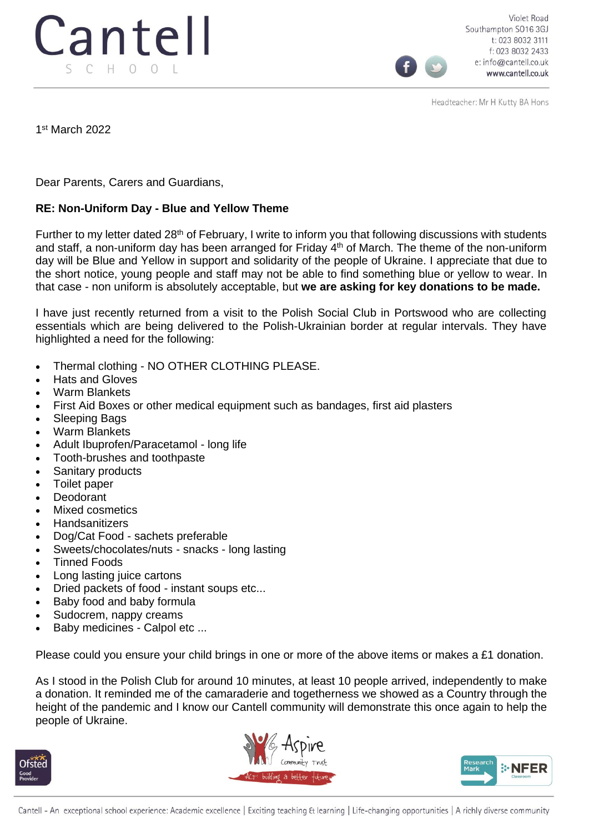

Violet Road Southampton SO16 3GJ t: 023 8032 3111 f: 023 8032 2433 e: info@cantell.co.uk www.cantell.co.uk

Headteacher: Mr H Kutty BA Hons

1 st March 2022

Dear Parents, Carers and Guardians,

## **RE: Non-Uniform Day - Blue and Yellow Theme**

Further to my letter dated 28<sup>th</sup> of February, I write to inform you that following discussions with students and staff, a non-uniform day has been arranged for Friday 4<sup>th</sup> of March. The theme of the non-uniform day will be Blue and Yellow in support and solidarity of the people of Ukraine. I appreciate that due to the short notice, young people and staff may not be able to find something blue or yellow to wear. In that case - non uniform is absolutely acceptable, but **we are asking for key donations to be made.**

I have just recently returned from a visit to the Polish Social Club in Portswood who are collecting essentials which are being delivered to the Polish-Ukrainian border at regular intervals. They have highlighted a need for the following:

- Thermal clothing NO OTHER CLOTHING PLEASE.
- Hats and Gloves
- Warm Blankets
- First Aid Boxes or other medical equipment such as bandages, first aid plasters
- Sleeping Bags
- Warm Blankets
- Adult Ibuprofen/Paracetamol long life
- Tooth-brushes and toothpaste
- Sanitary products
- Toilet paper
- Deodorant
- Mixed cosmetics
- **Handsanitizers**
- Dog/Cat Food sachets preferable
- Sweets/chocolates/nuts snacks long lasting
- Tinned Foods
- Long lasting juice cartons
- Dried packets of food instant soups etc...
- Baby food and baby formula
- Sudocrem, nappy creams
- Baby medicines Calpol etc ...

Please could you ensure your child brings in one or more of the above items or makes a £1 donation.

As I stood in the Polish Club for around 10 minutes, at least 10 people arrived, independently to make a donation. It reminded me of the camaraderie and togetherness we showed as a Country through the height of the pandemic and I know our Cantell community will demonstrate this once again to help the people of Ukraine.